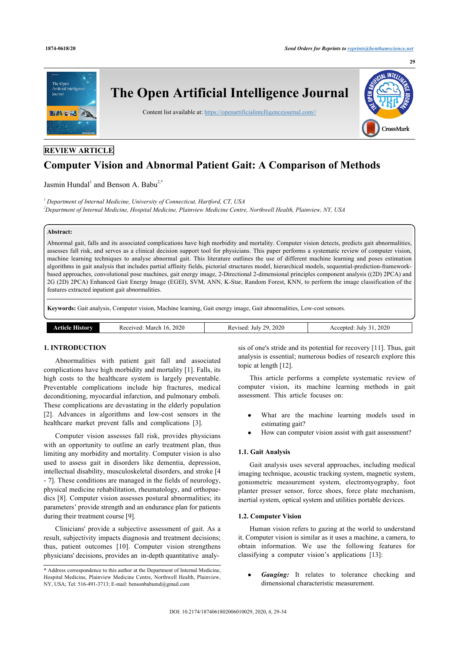

# **REVIEW ARTICLE**

# **Computer Vision and Abnormal Patient Gait: A Comparison of Methods**

Jasmin Hundal<sup>[1](#page-0-0)</sup> and Benson A. Babu<sup>[2](#page-0-1),[\\*](#page-0-2)</sup>

<span id="page-0-1"></span><span id="page-0-0"></span>*1 Department of Internal Medicine, University of Connecticut, Hartford, CT, USA <sup>2</sup>Department of Internal Medicine, Hospital Medicine, Plainview Medicine Centre, Northwell Health, Plainview, NY, USA*

# **Abstract:**

Abnormal gait, falls and its associated complications have high morbidity and mortality. Computer vision detects, predicts gait abnormalities, assesses fall risk, and serves as a clinical decision support tool for physicians. This paper performs a systematic review of computer vision, machine learning techniques to analyse abnormal gait. This literature outlines the use of different machine learning and poses estimation algorithms in gait analysis that includes partial affinity fields, pictorial structures model, hierarchical models, sequential-prediction-frameworkbased approaches, convolutional pose machines, gait energy image, 2-Directional 2-dimensional principles component analysis ((2D) 2PCA) and 2G (2D) 2PCA) Enhanced Gait Energy Image (EGEI), SVM, ANN, K-Star, Random Forest, KNN, to perform the image classification of the features extracted inpatient gait abnormalities.

**Keywords:** Gait analysis, Computer vision, Machine learning, Gait energy image, Gait abnormalities, Low-cost sensors.

| 2020<br>2020<br>2020<br>orv<br>ാവം<br>July<br>Received:<br>March<br>1100d<br>o d<br>$\sim$ $\sim$<br>. Change<br>July<br>Αc<br>◡<br>$\rightarrow$<br>∠∪∠t<br>™DICG.<br>n c<br>NUU.<br>$\cdots$ |  |  |
|------------------------------------------------------------------------------------------------------------------------------------------------------------------------------------------------|--|--|
|                                                                                                                                                                                                |  |  |

### **1. INTRODUCTION**

Abnormalities with patient gait fall and associated complications have high morbidity and mortality [[1](#page-3-0)]. Falls, its high costs to the healthcare system is largely preventable. Preventable complications include hip fractures, medical deconditioning, myocardial infarction, and pulmonary emboli. These complications are devastating in the elderly population [[2](#page-3-1)]. Advances in algorithms and low-cost sensors in the healthcare market prevent falls and complications [\[3\]](#page-3-2).

Computer vision assesses fall risk, provides physicians with an opportunity to outline an early treatment plan, thus limiting any morbidity and mortality. Computer vision is also used to assess gait in disorders like dementia, depression, intellectual disability, musculoskeletal disorders, and stroke [[4](#page-3-3) - [7\]](#page-4-0). These conditions are managed in the fields of neurology, physical medicine rehabilitation, rheumatology, and orthopaedics [[8](#page-4-1)]. Computer vision assesses postural abnormalities; its parameters' provide strength and an endurance plan for patients during their treatment course [\[9\]](#page-4-2).

Clinicians' provide a subjective assessment of gait. As a result, subjectivity impacts diagnosis and treatment decisions; thus, patient outcomes [\[10](#page-4-3)]. Computer vision strengthens physicians' decisions, provides an in-depth quantitative analysis of one's stride and its potential for recovery [\[11](#page-4-4)]. Thus, gait analysis is essential; numerous bodies of research explore this topic at length [[12\]](#page-4-5).

This article performs a complete systematic review of computer vision, its machine learning methods in gait assessment. This article focuses on:

- What are the machine learning models used in estimating gait?
- How can computer vision assist with gait assessment?

#### **1.1. Gait Analysis**

Gait analysis uses several approaches, including medical imaging technique, acoustic tracking system, magnetic system, goniometric measurement system, electromyography, foot planter presser sensor, force shoes, force plate mechanism, inertial system, optical system and utilities portable devices.

#### **1.2. Computer Vision**

Human vision refers to gazing at the world to understand it. Computer vision is similar as it uses a machine, a camera, to obtain information. We use the following features for classifying a computer vision's applications [\[13](#page-4-6)]:

 $\bullet$ *Gauging:* It relates to tolerance checking and dimensional characteristic measurement.

<span id="page-0-2"></span><sup>\*</sup> Address correspondence to this author at the Department of Internal Medicine, Hospital Medicine, Plainview Medicine Centre, Northwell Health, Plainview, NY, USA; Tel: 516-491-3713; E-mail: [bensonbabumd@gmail.com](mailto:bensonbabumd@gmail.com)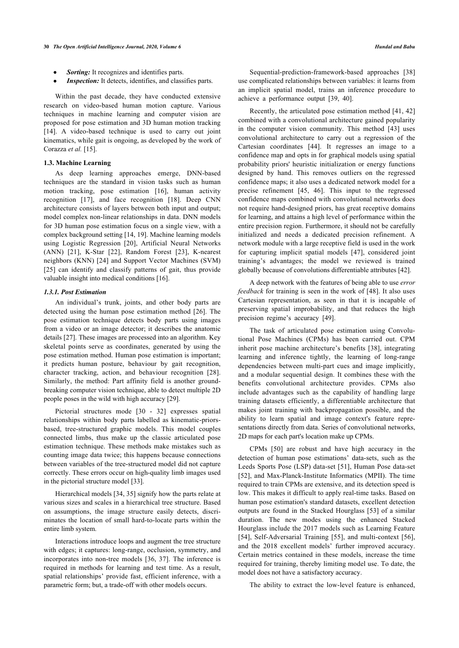- *Sorting:* It recognizes and identifies parts.
- *Inspection:* It detects, identifies, and classifies parts.

Within the past decade, they have conducted extensive research on video-based human motion capture. Various techniques in machine learning and computer vision are proposed for pose estimation and 3D human motion tracking [[14\]](#page-4-7). A video-based technique is used to carry out joint kinematics, while gait is ongoing, as developed by the work of Corazza *et al.* [[15\]](#page-4-8).

#### **1.3. Machine Learning**

As deep learning approaches emerge, DNN-based techniques are the standard in vision tasks such as human motion tracking, pose estimation[[16](#page-4-9)], human activity recognition[[17](#page-4-10)], and face recognition[[18](#page-4-11)]. Deep CNN architecture consists of layers between both input and output; model complex non-linear relationships in data. DNN models for 3D human pose estimation focus on a single view, with a complex background setting [\[14](#page-4-7), [19\]](#page-4-12). Machine learning models using Logistic Regression[[20](#page-4-13)], Artificial Neural Networks (ANN)[[21](#page-4-14)], K-Star [\[22\]](#page-4-15), Random Forest[[23\]](#page-4-16), K-nearest neighbors (KNN) [[24\]](#page-4-17) and Support Vector Machines (SVM) [[25\]](#page-4-18) can identify and classify patterns of gait, thus provide valuable insight into medical conditions [[16\]](#page-4-9).

# *1.3.1. Post Estimation*

An individual's trunk, joints, and other body parts are detected using the human pose estimation method [[26](#page-4-1)]. The pose estimation technique detects body parts using images from a video or an image detector; it describes the anatomic details [\[27\]](#page-4-19). These images are processed into an algorithm. Key skeletal points serve as coordinates, generated by using the pose estimation method. Human pose estimation is important; it predicts human posture, behaviour by gait recognition, character tracking, action, and behaviour recognition[[28\]](#page-4-3). Similarly, the method: Part affinity field is another groundbreaking computer vision technique, able to detect multiple 2D people poses in the wild with high accuracy [[29\]](#page-4-20).

Pictorial structures mode[[30](#page-4-5) - [32](#page-4-21)] expresses spatial relationships within body parts labelled as kinematic-priorsbased, tree-structured graphic models. This model couples connected limbs, thus make up the classic articulated pose estimation technique. These methods make mistakes such as counting image data twice; this happens because connections between variables of the tree-structured model did not capture correctly. These errors occur on high-quality limb images used in the pictorial structure model [[33\]](#page-4-22).

Hierarchical models [\[34](#page-4-23), [35](#page-4-24)] signify how the parts relate at various sizes and scales in a hierarchical tree structure. Based on assumptions, the image structure easily detects, discriminates the location of small hard-to-locate parts within the entire limb system.

Interactions introduce loops and augment the tree structure with edges; it captures: long-range, occlusion, symmetry, and incorporates into non-tree models [\[36](#page-4-25), [37\]](#page-4-26). The inference is required in methods for learning and test time. As a result, spatial relationships' provide fast, efficient inference, with a parametric form; but, a trade-off with other models occurs.

Sequential-prediction-framework-based approaches [\[38\]](#page-4-27) use complicated relationships between variables: it learns from an implicit spatial model, trains an inference procedure to achieve a performance output[[39,](#page-4-28) [40](#page-4-29)].

Recently, the articulated pose estimation method [[41](#page-4-30), [42\]](#page-4-31) combined with a convolutional architecture gained popularity in the computer vision community. This method [\[43](#page-4-16)] uses convolutional architecture to carry out a regression of the Cartesian coordinates[[44\]](#page-5-0). It regresses an image to a confidence map and opts in for graphical models using spatial probability priors' heuristic initialization or energy functions designed by hand. This removes outliers on the regressed confidence maps; it also uses a dedicated network model for a precise refinement[[45,](#page-5-1) [46](#page-5-2)]. This input to the regressed confidence maps combined with convolutional networks does not require hand-designed priors, has great receptive domains for learning, and attains a high level of performance within the entire precision region. Furthermore, it should not be carefully initialized and needs a dedicated precision refinement. A network module with a large receptive field is used in the work for capturing implicit spatial models[[47\]](#page-5-3), considered joint training's advantages; the model we reviewed is trained globally because of convolutions differentiable attributes [\[42](#page-4-31)].

A deep network with the features of being able to use *error feedback* for training is seen in the work of [[48\]](#page-5-4). It also uses Cartesian representation, as seen in that it is incapable of preserving spatial improbability, and that reduces the high precision regime's accuracy [\[49](#page-5-5)].

The task of articulated pose estimation using Convolutional Pose Machines (CPMs) has been carried out. CPM inherit pose machine architecture's benefits [[38\]](#page-4-27), integrating learning and inference tightly, the learning of long-range dependencies between multi-part cues and image implicitly, and a modular sequential design. It combines these with the benefits convolutional architecture provides. CPMs also include advantages such as the capability of handling large training datasets efficiently, a differentiable architecture that makes joint training with backpropagation possible, and the ability to learn spatial and image context's feature representations directly from data. Series of convolutional networks, 2D maps for each part's location make up CPMs.

CPMs[[50](#page-5-6)] are robust and have high accuracy in the detection of human pose estimations' data-sets, such as the Leeds Sports Pose (LSP) data-set [\[51\]](#page-5-7), Human Pose data-set [[52](#page-5-8)], and Max-Planck-Institute Informatics (MPII). The time required to train CPMs are extensive, and its detection speed is low. This makes it difficult to apply real-time tasks. Based on human pose estimation's standard datasets, excellent detection outputs are found in the Stacked Hourglass [\[53\]](#page-5-9) of a similar duration. The new modes using the enhanced Stacked Hourglass include the 2017 models such as Learning Feature [[54](#page-5-10)], Self-Adversarial Training [[55](#page-5-11)], and multi-context [[56](#page-5-12)], and the 2018 excellent models' further improved accuracy. Certain metrics contained in these models, increase the time required for training, thereby limiting model use. To date, the model does not have a satisfactory accuracy.

The ability to extract the low-level feature is enhanced,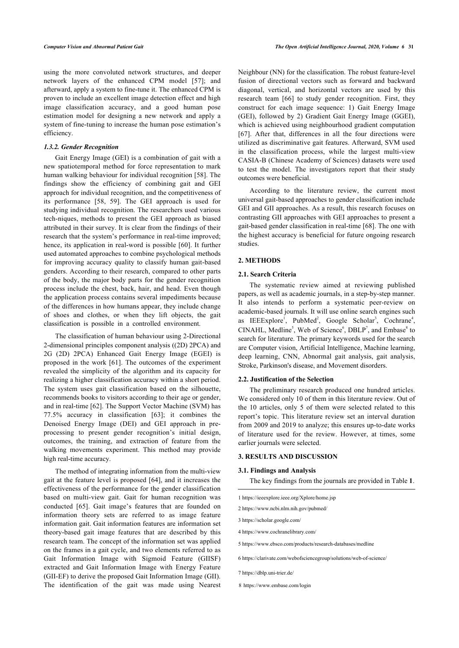<span id="page-2-0"></span>using the more convoluted network structures, and deeper network layers of the enhanced CPM model[[57](#page-5-13)]; and afterward, apply a system to fine-tune it. The enhanced CPM is proven to include an excellent image detection effect and high image classification accuracy, and a good human pose estimation model for designing a new network and apply a system of fine-tuning to increase the human pose estimation's efficiency.

#### *1.3.2. Gender Recognition*

Gait Energy Image (GEI) is a combination of gait with a new spatiotemporal method for force representation to mark human walking behaviour for individual recognition [\[58](#page-5-0)]. The findings show the efficiency of combining gait and GEI approach for individual recognition, and the competitiveness of its performance[[58,](#page-5-0) [59\]](#page-5-14). The GEI approach is used for studying individual recognition. The researchers used various tech-niques, methods to present the GEI approach as biased attributed in their survey. It is clear from the findings of their research that the system's performance in real-time improved; hence, its application in real-word is possible [[60\]](#page-5-15). It further used automated approaches to combine psychological methods for improving accuracy quality to classify human gait-based genders. According to their research, compared to other parts of the body, the major body parts for the gender recognition process include the chest, back, hair, and head. Even though the application process contains several impediments because of the differences in how humans appear, they include change of shoes and clothes, or when they lift objects, the gait classification is possible in a controlled environment.

The classification of human behaviour using 2-Directional 2-dimensional principles component analysis ((2D) 2PCA) and 2G (2D) 2PCA) Enhanced Gait Energy Image (EGEI) is proposed in the work [[61\]](#page-5-16). The outcomes of the experiment revealed the simplicity of the algorithm and its capacity for realizing a higher classification accuracy within a short period. The system uses gait classification based on the silhouette, recommends books to visitors according to their age or gender, and in real-time [\[62](#page-5-4)]. The Support Vector Machine (SVM) has 77.5% accuracy in classification [\[63\]](#page-5-5); it combines the Denoised Energy Image (DEI) and GEI approach in preprocessing to present gender recognition's initial design, outcomes, the training, and extraction of feature from the walking movements experiment. This method may provide high real-time accuracy.

The method of integrating information from the multi-view gait at the feature level is proposed [\[64](#page-5-6)], and it increases the effectiveness of the performance for the gender classification based on multi-view gait. Gait for human recognition was conducted[[65](#page-5-17)]. Gait image's features that are founded on information theory sets are referred to as image feature information gait. Gait information features are information set theory-based gait image features that are described by this research team. The concept of the information set was applied on the frames in a gait cycle, and two elements referred to as Gait Information Image with Sigmoid Feature (GIISF) extracted and Gait Information Image with Energy Feature (GII-EF) to derive the proposed Gait Information Image (GII). The identification of the gait was made using Nearest

Neighbour (NN) for the classification. The robust feature-level fusion of directional vectors such as forward and backward diagonal, vertical, and horizontal vectors are used by this research team [\[66](#page-5-18)] to study gender recognition. First, they construct for each image sequence: 1) Gait Energy Image (GEI), followed by 2) Gradient Gait Energy Image (GGEI), which is achieved using neighbourhood gradient computation [[67](#page-5-19)]. After that, differences in all the four directions were utilized as discriminative gait features. Afterward, SVM used in the classification process, while the largest multi-view CASIA-B (Chinese Academy of Sciences) datasets were used to test the model. The investigators report that their study outcomes were beneficial.

According to the literature review, the current most universal gait-based approaches to gender classification include GEI and GII approaches. As a result, this research focuses on contrasting GII approaches with GEI approaches to present a gait-based gender classification in real-time [[68\]](#page-5-20). The one with the highest accuracy is beneficial for future ongoing research studies.

## **2. METHODS**

## **2.1. Search Criteria**

The systematic review aimed at reviewing published papers, as well as academic journals, in a step-by-step manner. It also intends to perform a systematic peer-review on academic-based journals. It will use online search engines such as IEEExplore<sup>[1](#page-2-0)</sup>, PubMed<sup>2</sup>, Google Scholar<sup>3</sup>, Cochrane<sup>4</sup>,  $CINAL$ , Medline<sup>5</sup>, Web of Science<sup>6</sup>, DBLP<sup>7</sup>, and Embase<sup>8</sup> to search for literature. The primary keywords used for the search are Computer vision, Artificial Intelligence, Machine learning, deep learning, CNN, Abnormal gait analysis, gait analysis, Stroke, Parkinson's disease, and Movement disorders.

#### **2.2. Justification of the Selection**

The preliminary research produced one hundred articles. We considered only 10 of them in this literature review. Out of the 10 articles, only 5 of them were selected related to this report's topic. This literature review set an interval duration from 2009 and 2019 to analyze; this ensures up-to-date works of literature used for the review. However, at times, some earlier journals were selected.

#### **3. RESULTS AND DISCUSSION**

#### **3.1. Findings and Analysis**

The key findings from the journals are provided in Table **[1](#page-3-4)**.

- 1<https://ieeexplore.ieee.org/Xplore/home.jsp>
- 2<https://www.ncbi.nlm.nih.gov/pubmed/>
- 3<https://scholar.google.com/>
- 4<https://www.cochranelibrary.com/>
- 5<https://www.ebsco.com/products/research-databases/medline>
- 6<https://clarivate.com/webofsciencegroup/solutions/web-of-science/>
- 7<https://dblp.uni-trier.de/>
- 8 <https://www.embase.com/login>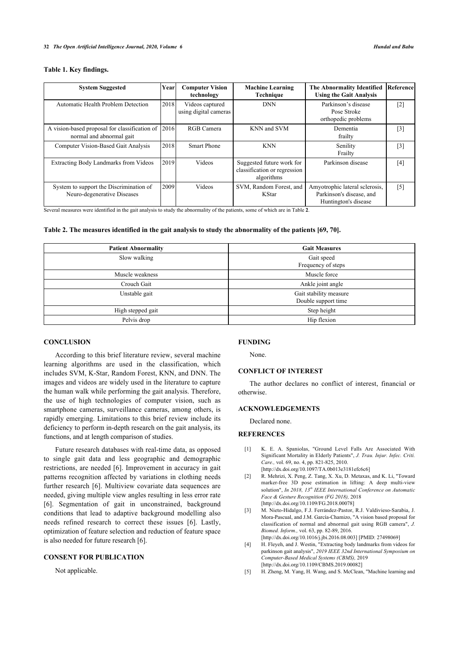#### **Table 1. Key findings.**

<span id="page-3-4"></span>

| <b>System Suggested</b>                                                   | Year | <b>Computer Vision</b><br>technology     | <b>Machine Learning</b><br>Technique                                    | <b>The Abnormality Identified</b><br><b>Using the Gait Analysis</b>                | Referencel        |
|---------------------------------------------------------------------------|------|------------------------------------------|-------------------------------------------------------------------------|------------------------------------------------------------------------------------|-------------------|
| Automatic Health Problem Detection                                        | 2018 | Videos captured<br>using digital cameras | <b>DNN</b>                                                              | Parkinson's disease<br>Pose Stroke<br>orthopedic problems                          | $\lceil 2 \rceil$ |
| A vision-based proposal for classification of<br>normal and abnormal gait | 2016 | RGB Camera                               | KNN and SVM                                                             | Dementia<br>frailty                                                                | $[3]$             |
| Computer Vision-Based Gait Analysis                                       | 2018 | <b>Smart Phone</b>                       | <b>KNN</b>                                                              | Senility<br>Frailty                                                                | $[3]$             |
| Extracting Body Landmarks from Videos                                     | 2019 | Videos                                   | Suggested future work for<br>classification or regression<br>algorithms | Parkinson disease                                                                  | [4]               |
| System to support the Discrimination of<br>Neuro-degenerative Diseases    | 2009 | Videos                                   | SVM, Random Forest, and<br><b>K</b> Star                                | Amyotrophic lateral sclerosis,<br>Parkinson's disease, and<br>Huntington's disease | $\lceil 5 \rceil$ |

Several measures were identified in the gait analysis to study the abnormality of the patients, some of which are in Table **[2](#page-3-6)**.

#### **Table 2. The measures identified in the gait analysis to study the abnormality of the patients [\[69](#page-5-21), [70\]](#page-5-22).**

<span id="page-3-6"></span>

| <b>Patient Abnormality</b> | <b>Gait Measures</b>   |  |
|----------------------------|------------------------|--|
| Slow walking               | Gait speed             |  |
|                            | Frequency of steps     |  |
| Muscle weakness            | Muscle force           |  |
| Crouch Gait                | Ankle joint angle      |  |
| Unstable gait              | Gait stability measure |  |
|                            | Double support time    |  |
| High stepped gait          | Step height            |  |
| Pelvis drop                | Hip flexion            |  |

# **CONCLUSION**

According to this brief literature review, several machine learning algorithms are used in the classification, which includes SVM, K-Star, Random Forest, KNN, and DNN. The images and videos are widely used in the literature to capture the human walk while performing the gait analysis. Therefore, the use of high technologies of computer vision, such as smartphone cameras, surveillance cameras, among others, is rapidly emerging. Limitations to this brief review include its deficiency to perform in-depth research on the gait analysis, its functions, and at length comparison of studies.

<span id="page-3-1"></span><span id="page-3-0"></span>Future research databases with real-time data, as opposed to single gait data and less geographic and demographic restrictions, are needed [[6\]](#page-4-32). Improvement in accuracy in gait patterns recognition affected by variations in clothing needs further research [[6](#page-4-32)]. Multiview covariate data sequences are needed, giving multiple view angles resulting in less error rate [[6](#page-4-32)]. Segmentation of gait in unconstrained, background conditions that lead to adaptive background modelling also needs refined research to correct these issues[[6\]](#page-4-32). Lastly, optimization of feature selection and reduction of feature space is also needed for future research [\[6\]](#page-4-32).

#### <span id="page-3-5"></span><span id="page-3-3"></span><span id="page-3-2"></span>**CONSENT FOR PUBLICATION**

Not applicable.

### **FUNDING**

None.

### **CONFLICT OF INTEREST**

The author declares no conflict of interest, financial or otherwise.

# **ACKNOWLEDGEMENTS**

Declared none.

#### **REFERENCES**

- [1] K. E. A. Spaniolas, "Ground Level Falls Are Associated With Significant Mortality in Elderly Patients", *J. Trau. Injur. Infec. Criti. Care.,* vol. 69, no. 4, pp. 821-825, 2010. [\[http://dx.doi.org/10.1097/TA.0b013e3181efc6c6\]](http://dx.doi.org/10.1097/TA.0b013e3181efc6c6)
- [2] R. Mehrizi, X. Peng, Z. Tang, X. Xu, D. Metaxas, and K. Li, "Toward marker-free 3D pose estimation in lifting: A deep multi-view solution", *In 2018, 13th IEEE International Conference on Automatic Face & Gesture Recognition (FG 2018),* 2018 [\[http://dx.doi.org/10.1109/FG.2018.00078](http://dx.doi.org/10.1109/FG.2018.00078)]
- [3] M. Nieto-Hidalgo, F.J. Ferrández-Pastor, R.J. Valdivieso-Sarabia, J. Mora-Pascual, and J.M. García-Chamizo, "A vision based proposal for classification of normal and abnormal gait using RGB camera", *J. Biomed. Inform.,* vol. 63, pp. 82-89, 2016. [\[http://dx.doi.org/10.1016/j.jbi.2016.08.003](http://dx.doi.org/10.1016/j.jbi.2016.08.003)] [PMID: [27498069\]](http://www.ncbi.nlm.nih.gov/pubmed/27498069)
- [4] H. Fleyeh, and J. Westin, "Extracting body landmarks from videos for parkinson gait analysis", *2019 IEEE 32nd International Symposium on Computer-Based Medical Systems (CBMS),* 2019 [\[http://dx.doi.org/10.1109/CBMS.2019.00082\]](http://dx.doi.org/10.1109/CBMS.2019.00082)
- [5] H. Zheng, M. Yang, H. Wang, and S. McClean, "Machine learning and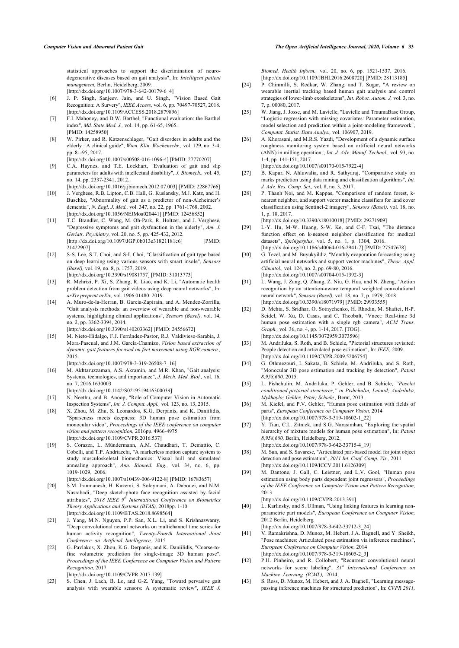statistical approaches to support the discrimination of neurodegenerative diseases based on gait analysis", In: *Intelligent patient management,* Berlin, Heidelberg, 2009. [\[http://dx.doi.org/10.1007/978-3-642-00179-6\\_4\]](http://dx.doi.org/10.1007/978-3-642-00179-6_4)

- <span id="page-4-32"></span><span id="page-4-17"></span>[6] J. P. Singh, Sanjeev. Jain, and U. Singh, "Vision Based Gait Recognition: A Survery", *IEEE Access,* vol. 6, pp. 70497-70527, 2018. [\[http://dx.doi.org/10.1109/ACCESS.2018.2879896\]](http://dx.doi.org/10.1109/ACCESS.2018.2879896)
- <span id="page-4-18"></span><span id="page-4-0"></span>[7] F.I. Mahoney, and D.W. Barthel, "Functional evaluation: the Barthel index", *Md. State Med. J.,* vol. 14, pp. 61-65, 1965. [PMID: [14258950](http://www.ncbi.nlm.nih.gov/pubmed/14258950)]
- <span id="page-4-1"></span>[8] W. Pirker, and R. Katzenschlager, "Gait disorders in adults and the elderly : A clinical guide", *Wien. Klin. Wochenschr.,* vol. 129, no. 3-4, pp. 81-95, 2017.
- <span id="page-4-2"></span>[\[http://dx.doi.org/10.1007/s00508-016-1096-4](http://dx.doi.org/10.1007/s00508-016-1096-4)] [PMID: [27770207\]](http://www.ncbi.nlm.nih.gov/pubmed/27770207) C.A. Haynes, and T.E. Lockhart, "Evaluation of gait and slip parameters for adults with intellectual disability", *J. Biomech.,* vol. 45, no. 14, pp. 2337-2341, 2012.

[\[http://dx.doi.org/10.1016/j.jbiomech.2012.07.003\]](http://dx.doi.org/10.1016/j.jbiomech.2012.07.003) [PMID: [22867766](http://www.ncbi.nlm.nih.gov/pubmed/22867766)]

- <span id="page-4-19"></span><span id="page-4-3"></span>[10] J. Verghese, R.B. Lipton, C.B. Hall, G. Kuslansky, M.J. Katz, and H. Buschke, "Abnormality of gait as a predictor of non-Alzheimer's dementia", *N. Engl. J. Med.,* vol. 347, no. 22, pp. 1761-1768, 2002. [\[http://dx.doi.org/10.1056/NEJMoa020441](http://dx.doi.org/10.1056/NEJMoa020441)] [PMID: [12456852\]](http://www.ncbi.nlm.nih.gov/pubmed/12456852)
- <span id="page-4-20"></span><span id="page-4-4"></span>[11] T.C. Brandler, C. Wang, M. Oh-Park, R. Holtzer, and J. Verghese, "Depressive symptoms and gait dysfunction in the elderly", *Am. J. Geriatr. Psychiatry,* vol. 20, no. 5, pp. 425-432, 2012. [\[http://dx.doi.org/10.1097/JGP.0b013e31821181c6\]](http://dx.doi.org/10.1097/JGP.0b013e31821181c6) [PMID: [21422907\]](http://www.ncbi.nlm.nih.gov/pubmed/21422907)
- <span id="page-4-5"></span>[12] S-S. Lee, S.T. Choi, and S-I. Choi, "Classification of gait type based on deep learning using various sensors with smart insole", *Sensors (Basel),* vol. 19, no. 8, p. 1757, 2019. [\[http://dx.doi.org/10.3390/s19081757\]](http://dx.doi.org/10.3390/s19081757) [PMID: [31013773\]](http://www.ncbi.nlm.nih.gov/pubmed/31013773)
- <span id="page-4-6"></span>[13] R. Mehrizi, P. Xi, S. Zhang, R. Liao, and K. Li, "Automatic health problem detection from gait videos using deep neural networks", In: *arXiv preprint arXiv,* vol. 1906.01480. 2019.
- <span id="page-4-21"></span><span id="page-4-7"></span>[14] A. Muro-de-la-Herran, B. Garcia-Zapirain, and A. Mendez-Zorrilla, "Gait analysis methods: an overview of wearable and non-wearable systems, highlighting clinical applications", *Sensors (Basel),* vol. 14, no. 2, pp. 3362-3394, 2014.

[\[http://dx.doi.org/10.3390/s140203362](http://dx.doi.org/10.3390/s140203362)] [PMID: [24556672](http://www.ncbi.nlm.nih.gov/pubmed/24556672)]

<span id="page-4-22"></span><span id="page-4-8"></span>[15] M. Nieto-Hidalgo, F.J. Ferrández-Pastor, R.J. Valdivieso-Sarabia, J. Mora-Pascual, and J.M. García-Chamizo, *Vision based extraction of dynamic gait features focused on feet movement using RGB camera.,* 2015.

[\[http://dx.doi.org/10.1007/978-3-319-26508-7\\_16](http://dx.doi.org/10.1007/978-3-319-26508-7_16)]

<span id="page-4-24"></span><span id="page-4-23"></span><span id="page-4-9"></span>[16] M. Akhtaruzzaman, A.S. Akramin, and M.R. Khan, "Gait analysis: Systems, technologies, and importance", *J. Mech. Med. Biol.,* vol. 16, no. 7, 2016.1630003

[\[http://dx.doi.org/10.1142/S0219519416300039](http://dx.doi.org/10.1142/S0219519416300039)]

- <span id="page-4-25"></span><span id="page-4-10"></span>[17] N. Neethu, and B. Anoop, "Role of Computer Vision in Automatic Inspection Systems", *Int. J. Comput. Appl.,* vol. 123, no. 13, 2015.
- <span id="page-4-26"></span><span id="page-4-11"></span>[18] X. Zhou, M. Zhu, S. Leonardos, K.G. Derpanis, and K. Daniilidis, "Sparseness meets deepness: 3D human pose estimation from monocular video", *Proceedings of the IEEE conference on computer vision and pattern recognition,* 2016pp. 4966-4975 [\[http://dx.doi.org/10.1109/CVPR.2016.537](http://dx.doi.org/10.1109/CVPR.2016.537)]
- <span id="page-4-27"></span><span id="page-4-12"></span>[19] S. Corazza, L. Mündermann, A.M. Chaudhari, T. Demattio, C. Cobelli, and T.P. Andriacchi, "A markerless motion capture system to study musculoskeletal biomechanics: Visual hull and simulated annealing approach", *Ann. Biomed. Eng.,* vol. 34, no. 6, pp. 1019-1029, 2006.
- <span id="page-4-28"></span><span id="page-4-13"></span>[\[http://dx.doi.org/10.1007/s10439-006-9122-8](http://dx.doi.org/10.1007/s10439-006-9122-8)] [PMID: [16783657\]](http://www.ncbi.nlm.nih.gov/pubmed/16783657) [20] S.M. Iranmanesh, H. Kazemi, S. Soleymani, A. Dabouei, and N.M. Nasrabadi, "Deep sketch-photo face recognition assisted by facial attributes", *2018 IEEE 9th International Conference on Biometrics Theory Applications and Systems (BTAS),* 2018pp. 1-10 [\[http://dx.doi.org/10.1109/BTAS.2018.8698564](http://dx.doi.org/10.1109/BTAS.2018.8698564)]
- <span id="page-4-30"></span><span id="page-4-29"></span><span id="page-4-14"></span>[21] J. Yang, M.N. Nguyen, P.P. San, X.L. Li, and S. Krishnaswamy, "Deep convolutional neural networks on multichannel time series for human activity recognition", *Twenty-Fourth International Joint Conference on Artificial Intelligence,* 2015
- <span id="page-4-31"></span><span id="page-4-15"></span>[22] G. Pavlakos, X. Zhou, K.G. Derpanis, and K. Daniilidis, "Coarse-tofine volumetric prediction for single-image 3D human pose", *Proceedings of the IEEE Conference on Computer Vision and Pattern Recognition,* 2017

[\[http://dx.doi.org/10.1109/CVPR.2017.139](http://dx.doi.org/10.1109/CVPR.2017.139)]

<span id="page-4-16"></span>[23] S. Chen, J. Lach, B. Lo, and G-Z. Yang, "Toward pervasive gait analysis with wearable sensors: A systematic review", *IEEE J.*

*Biomed. Health Inform.,* vol. 20, no. 6, pp. 1521-1537, 2016. [\[http://dx.doi.org/10.1109/JBHI.2016.2608720](http://dx.doi.org/10.1109/JBHI.2016.2608720)] [PMID: [28113185\]](http://www.ncbi.nlm.nih.gov/pubmed/28113185)

- [24] P. Chinmilli, S. Redkar, W. Zhang, and T. Sugar, "A review on wearable inertial tracking based human gait analysis and control strategies of lower-limb exoskeletons", *Int. Robot. Autom. J,* vol. 3, no. 7, p. 00080, 2017.
- [25] W. Jiang, J. Josse, and M. Lavielle, "Lavielle and TraumaBase Group, "Logistic regression with missing covariates: Parameter estimation, model selection and prediction within a joint-modeling framework", *Computat. Statist. Data Analys.,* vol. 106907, 2019.
- [26] A. Khorasani, and M.R.S. Yazdi, "Development of a dynamic surface roughness monitoring system based on artificial neural networks (ANN) in milling operation", *Int. J. Adv. Manuf. Technol.,* vol. 93, no. 1-4, pp. 141-151, 2017.

[\[http://dx.doi.org/10.1007/s00170-015-7922-4\]](http://dx.doi.org/10.1007/s00170-015-7922-4)

- [27] B. Kapur, N. Ahluwalia, and R. Sathyaraj, "Comparative study on marks prediction using data mining and classification algorithms", *Int. J. Adv. Res. Comp. Sci.,* vol. 8, no. 3, 2017.
- [28] P. Thanh Noi, and M. Kappas, "Comparison of random forest, knearest neighbor, and support vector machine classifiers for land cover classification using Sentinel-2 imagery", *Sensors (Basel),* vol. 18, no. 1, p. 18, 2017.

[\[http://dx.doi.org/10.3390/s18010018](http://dx.doi.org/10.3390/s18010018)] [PMID: [29271909\]](http://www.ncbi.nlm.nih.gov/pubmed/29271909)

- [29] L-Y. Hu, M-W. Huang, S-W. Ke, and C-F. Tsai, "The distance function effect on k-nearest neighbor classification for medical datasets", *Springerplus,* vol. 5, no. 1, p. 1304, 2016. [\[http://dx.doi.org/10.1186/s40064-016-2941-7\]](http://dx.doi.org/10.1186/s40064-016-2941-7) [PMID: [27547678](http://www.ncbi.nlm.nih.gov/pubmed/27547678)]
- [30] G. Tezel, and M. Buyukyildiz, "Monthly evaporation forecasting using artificial neural networks and support vector machines", *Theor. Appl. Climatol.,* vol. 124, no. 2, pp. 69-80, 2016. [\[http://dx.doi.org/10.1007/s00704-015-1392-3\]](http://dx.doi.org/10.1007/s00704-015-1392-3)
- [31] L. Wang, J. Zang, Q. Zhang, Z. Niu, G. Hua, and N. Zheng, "Action recognition by an attention-aware temporal weighted convolutional neural network", *Sensors (Basel),* vol. 18, no. 7, p. 1979, 2018. [\[http://dx.doi.org/10.3390/s18071979](http://dx.doi.org/10.3390/s18071979)] [PMID: [29933555\]](http://www.ncbi.nlm.nih.gov/pubmed/29933555)
- [32] D. Mehta, S. Sridhar, O. Sotnychenko, H. Rhodin, M. Shafiei, H-P. Seidel, W. Xu, D. Casas, and C. Theobalt, "Vnect: Real-time 3d human pose estimation with a single rgb camera", *ACM Trans. Graph.,* vol. 36, no. 4, pp. 1-14, 2017. [TOG]. [\[http://dx.doi.org/10.1145/3072959.3073596](http://dx.doi.org/10.1145/3072959.3073596)]
- [33] M. Andriluka, S. Roth, and B. Schiele, "Pictorial structures revisited: People detection and articulated pose estimation", In: *IEEE,* 2009. [\[http://dx.doi.org/10.1109/CVPR.2009.5206754\]](http://dx.doi.org/10.1109/CVPR.2009.5206754)
- [34] G. Othmezouri, I. Sakata, B. Schiele, M. Andriluka, and S. Roth, "Monocular 3D pose estimation and tracking by detection", *Patent 8,958,600,* 2015.
- [35] L. Pishchulin, M. Andriluka, P. Gehler, and B. Schiele, *"Poselet conditioned pictorial structures," in Pishchulin, Leonid; Andriluka, Mykhaylo; Gehler, Peter; Schiele.,* Bernt, 2013.
- [36] M. Kiefel, and P.V. Gehler, "Human pose estimation with fields of parts", *European Conference on Computer Vision,* 2014 [\[http://dx.doi.org/10.1007/978-3-319-10602-1\\_22\]](http://dx.doi.org/10.1007/978-3-319-10602-1_22)
- [37] Y. Tian, C.L. Zitnick, and S.G. Narasimhan, "Exploring the spatial hierarchy of mixture models for human pose estimation", In: *Patent 8,958,600,* Berlin, Heidelberg, 2012. [\[http://dx.doi.org/10.1007/978-3-642-33715-4\\_19\]](http://dx.doi.org/10.1007/978-3-642-33715-4_19)
- [38] M. Sun, and S. Savarese, "Articulated part-based model for joint object detection and pose estimation", *2011 Int. Conf. Comp. Vis.,* 2011 [\[http://dx.doi.org/10.1109/ICCV.2011.6126309](http://dx.doi.org/10.1109/ICCV.2011.6126309)]
- [39] M. Dantone, J. Gall, C. Leistner, and L.V. Gool, "Human pose estimation using body parts dependent joint regressors", *Proceedings of the IEEE Conference on Computer Vision and Pattern Recognition,* 2013

[\[http://dx.doi.org/10.1109/CVPR.2013.391\]](http://dx.doi.org/10.1109/CVPR.2013.391)

[40] L. Karlinsky, and S. Ullman, "Using linking features in learning nonparametric part models", *European Conference on Computer Vision,* 2012 Berlin, Heidelberg

[\[http://dx.doi.org/10.1007/978-3-642-33712-3\\_24\]](http://dx.doi.org/10.1007/978-3-642-33712-3_24)

- [41] V. Ramakrishna, D. Munoz, M. Hebert, J.A. Bagnell, and Y. Sheikh, "Pose machines: Articulated pose estimation via inference machines", *European Conference on Computer Vision,* 2014 [\[http://dx.doi.org/10.1007/978-3-319-10605-2\\_3](http://dx.doi.org/10.1007/978-3-319-10605-2_3)]
- [42] P.H. Pinheiro, and R. Collobert, "Recurrent convolutional neural networks for scene labeling", *31st International Conference on Machine Learning (ICML),* 2014
- [43] S. Ross, D. Munoz, M. Hebert, and J. A. Bagnell, "Learning messagepassing inference machines for structured prediction", In: *CVPR 2011,*